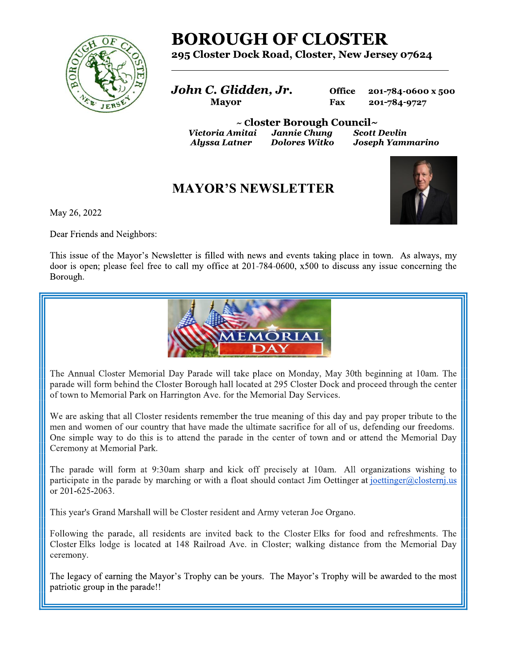

# **BOROUGH OF CLOSTER**

## 295 Closter Dock Road, Closter, New Jersey 07624

John C. Glidden, Jr. **Mayor** 

**Office** 201-784-0600 x 500 Fax 201-784-9727

 $\sim$  Closter Borough Council $\sim$ Jannie Chung Victoria Amitai **Dolores Witko Alyssa Latner** 

**Scott Devlin** Joseph Yammarino

## **MAYOR'S NEWSLETTER**



May 26, 2022

Dear Friends and Neighbors:

This issue of the Mayor's Newsletter is filled with news and events taking place in town. As always, my door is open; please feel free to call my office at 201-784-0600, x500 to discuss any issue concerning the Borough.



The Annual Closter Memorial Day Parade will take place on Monday, May 30th beginning at 10am. The parade will form behind the Closter Borough hall located at 295 Closter Dock and proceed through the center of town to Memorial Park on Harrington Ave. for the Memorial Day Services.

We are asking that all Closter residents remember the true meaning of this day and pay proper tribute to the men and women of our country that have made the ultimate sacrifice for all of us, defending our freedoms. One simple way to do this is to attend the parade in the center of town and or attend the Memorial Day Ceremony at Memorial Park.

The parade will form at 9:30am sharp and kick off precisely at 10am. All organizations wishing to participate in the parade by marching or with a float should contact Jim Oettinger at joettinger@closternj.us or 201-625-2063.

This year's Grand Marshall will be Closter resident and Army veteran Joe Organo.

Following the parade, all residents are invited back to the Closter Elks for food and refreshments. The Closter Elks lodge is located at 148 Railroad Ave. in Closter; walking distance from the Memorial Day ceremony.

The legacy of earning the Mayor's Trophy can be yours. The Mayor's Trophy will be awarded to the most patriotic group in the parade!!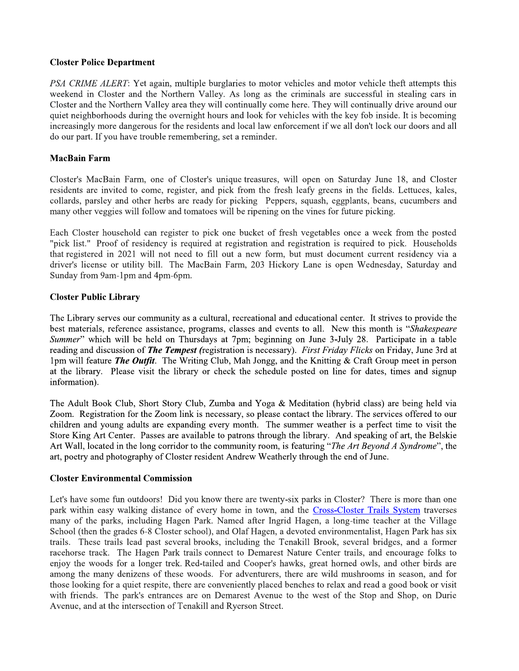#### **Closter Police Department**

PSA CRIME ALERT: Yet again, multiple burglaries to motor vehicles and motor vehicle theft attempts this weekend in Closter and the Northern Valley. As long as the criminals are successful in stealing cars in Closter and the Northern Valley area they will continually come here. They will continually drive around our quiet neighborhoods during the overnight hours and look for vehicles with the key fob inside. It is becoming increasingly more dangerous for the residents and local law enforcement if we all don't lock our doors and all do our part. If you have trouble remembering, set a reminder.

### **MacBain Farm**

Closter's MacBain Farm, one of Closter's unique treasures, will open on Saturday June 18, and Closter residents are invited to come, register, and pick from the fresh leafy greens in the fields. Lettuces, kales, collards, parsley and other herbs are ready for picking Peppers, squash, eggplants, beans, cucumbers and many other veggies will follow and tomatoes will be ripening on the vines for future picking.

Each Closter household can register to pick one bucket of fresh vegetables once a week from the posted "pick list." Proof of residency is required at registration and registration is required to pick. Households that registered in 2021 will not need to fill out a new form, but must document current residency via a driver's license or utility bill. The MacBain Farm, 203 Hickory Lane is open Wednesday, Saturday and Sunday from 9am-1pm and 4pm-6pm.

#### **Closter Public Library**

The Library serves our community as a cultural, recreational and educational center. It strives to provide the best materials, reference assistance, programs, classes and events to all. New this month is "Shakespeare" Summer" which will be held on Thursdays at 7pm; beginning on June 3-July 28. Participate in a table reading and discussion of *The Tempest* (registration is necessary). First Friday Flicks on Friday, June 3rd at 1pm will feature *The Outfit*. The Writing Club, Mah Jongg, and the Knitting & Craft Group meet in person at the library. Please visit the library or check the schedule posted on line for dates, times and signup information).

The Adult Book Club, Short Story Club, Zumba and Yoga & Meditation (hybrid class) are being held via Zoom. Registration for the Zoom link is necessary, so please contact the library. The services offered to our children and young adults are expanding every month. The summer weather is a perfect time to visit the Store King Art Center. Passes are available to patrons through the library. And speaking of art, the Belskie Art Wall, located in the long corridor to the community room, is featuring "The Art Beyond A Syndrome", the art, poetry and photography of Closter resident Andrew Weatherly through the end of June.

#### **Closter Environmental Commission**

Let's have some fun outdoors! Did you know there are twenty-six parks in Closter? There is more than one park within easy walking distance of every home in town, and the Cross-Closter Trails System traverses many of the parks, including Hagen Park. Named after Ingrid Hagen, a long-time teacher at the Village School (then the grades 6-8 Closter school), and Olaf Hagen, a devoted environmentalist, Hagen Park has six trails. These trails lead past several brooks, including the Tenakill Brook, several bridges, and a former racehorse track. The Hagen Park trails connect to Demarest Nature Center trails, and encourage folks to enjoy the woods for a longer trek. Red-tailed and Cooper's hawks, great horned owls, and other birds are among the many denizens of these woods. For adventurers, there are wild mushrooms in season, and for those looking for a quiet respite, there are conveniently placed benches to relax and read a good book or visit with friends. The park's entrances are on Demarest Avenue to the west of the Stop and Shop, on Durie Avenue, and at the intersection of Tenakill and Ryerson Street.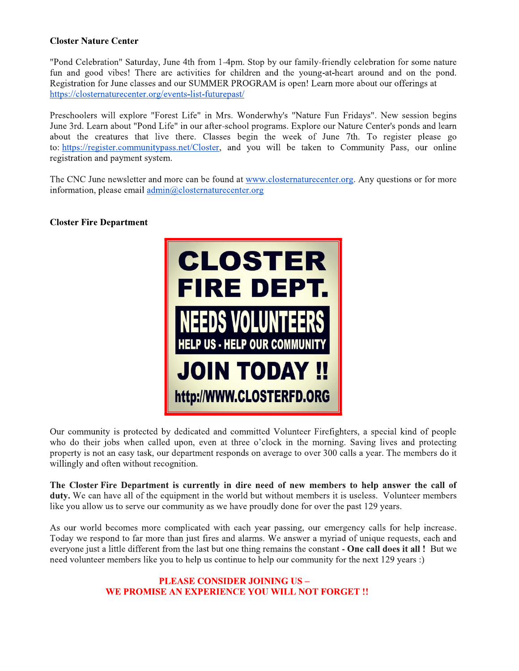### **Closter Nature Center**

"Pond Celebration" Saturday, June 4th from 1-4pm. Stop by our family-friendly celebration for some nature fun and good vibes! There are activities for children and the young-at-heart around and on the pond. Registration for June classes and our SUMMER PROGRAM is open! Learn more about our offerings at https://closternaturecenter.org/events-list-futurepast/

Preschoolers will explore "Forest Life" in Mrs. Wonderwhy's "Nature Fun Fridays". New session begins June 3rd. Learn about "Pond Life" in our after-school programs. Explore our Nature Center's ponds and learn about the creatures that live there. Classes begin the week of June 7th. To register please go to: https://register.communitypass.net/Closter, and you will be taken to Community Pass, our online registration and payment system.

The CNC June newsletter and more can be found at www.closternaturecenter.org. Any questions or for more information, please email  $\frac{admin(a) \text{closter}$ naturecenter.org

#### **Closter Fire Department**



Our community is protected by dedicated and committed Volunteer Firefighters, a special kind of people who do their jobs when called upon, even at three o'clock in the morning. Saving lives and protecting property is not an easy task, our department responds on average to over 300 calls a year. The members do it willingly and often without recognition.

The Closter Fire Department is currently in dire need of new members to help answer the call of duty. We can have all of the equipment in the world but without members it is useless. Volunteer members like you allow us to serve our community as we have proudly done for over the past 129 years.

As our world becomes more complicated with each year passing, our emergency calls for help increase. Today we respond to far more than just fires and alarms. We answer a myriad of unique requests, each and everyone just a little different from the last but one thing remains the constant - One call does it all! But we need volunteer members like you to help us continue to help our community for the next 129 years :)

## **PLEASE CONSIDER JOINING US -**WE PROMISE AN EXPERIENCE YOU WILL NOT FORGET !!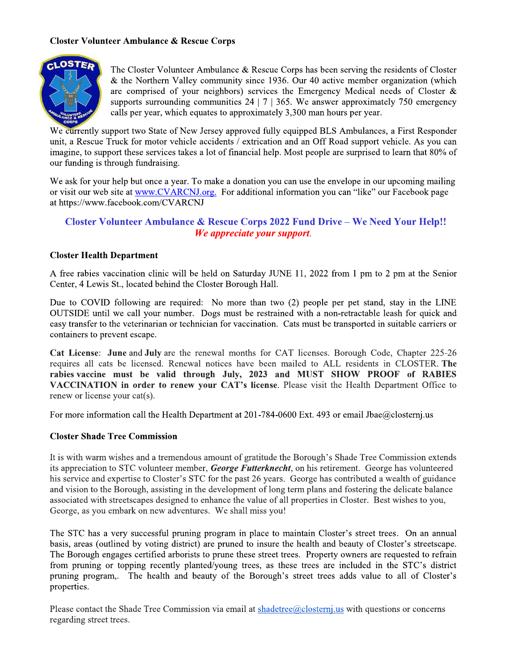#### **Closter Volunteer Ambulance & Rescue Corps**



The Closter Volunteer Ambulance & Rescue Corps has been serving the residents of Closter  $\&$  the Northern Valley community since 1936. Our 40 active member organization (which are comprised of your neighbors) services the Emergency Medical needs of Closter  $\&$ supports surrounding communities  $24 \mid 7 \mid 365$ . We answer approximately 750 emergency calls per year, which equates to approximately 3,300 man hours per year.

We currently support two State of New Jersey approved fully equipped BLS Ambulances, a First Responder unit, a Rescue Truck for motor vehicle accidents / extrication and an Off Road support vehicle. As you can imagine, to support these services takes a lot of financial help. Most people are surprised to learn that 80% of our funding is through fundraising.

We ask for your help but once a year. To make a donation you can use the envelope in our upcoming mailing or visit our web site at www.CVARCNJ.org. For additional information you can "like" our Facebook page at https://www.facebook.com/CVARCNJ

## **Closter Volunteer Ambulance & Rescue Corps 2022 Fund Drive - We Need Your Help!!** We appreciate your support.

#### **Closter Health Department**

A free rabies vaccination clinic will be held on Saturday JUNE 11, 2022 from 1 pm to 2 pm at the Senior Center, 4 Lewis St., located behind the Closter Borough Hall.

Due to COVID following are required: No more than two (2) people per pet stand, stay in the LINE OUTSIDE until we call your number. Dogs must be restrained with a non-retractable leash for quick and easy transfer to the veterinarian or technician for vaccination. Cats must be transported in suitable carriers or containers to prevent escape.

Cat License: June and July are the renewal months for CAT licenses. Borough Code, Chapter 225-26 requires all cats be licensed. Renewal notices have been mailed to ALL residents in CLOSTER. The rabies vaccine must be valid through July, 2023 and MUST SHOW PROOF of RABIES VACCINATION in order to renew your CAT's license. Please visit the Health Department Office to renew or license your cat(s).

For more information call the Health Department at 201-784-0600 Ext. 493 or email Jbae@closternj.us

#### **Closter Shade Tree Commission**

It is with warm wishes and a tremendous amount of gratitude the Borough's Shade Tree Commission extends its appreciation to STC volunteer member, George Futterknecht, on his retirement. George has volunteered his service and expertise to Closter's STC for the past 26 years. George has contributed a wealth of guidance and vision to the Borough, assisting in the development of long term plans and fostering the delicate balance associated with streetscapes designed to enhance the value of all properties in Closter. Best wishes to you, George, as you embark on new adventures. We shall miss you!

The STC has a very successful pruning program in place to maintain Closter's street trees. On an annual basis, areas (outlined by voting district) are pruned to insure the health and beauty of Closter's streetscape. The Borough engages certified arborists to prune these street trees. Property owners are requested to refrain from pruning or topping recently planted/young trees, as these trees are included in the STC's district pruning program,. The health and beauty of the Borough's street trees adds value to all of Closter's properties.

Please contact the Shade Tree Commission via email at shadetree  $@$  clostern, us with questions or concerns regarding street trees.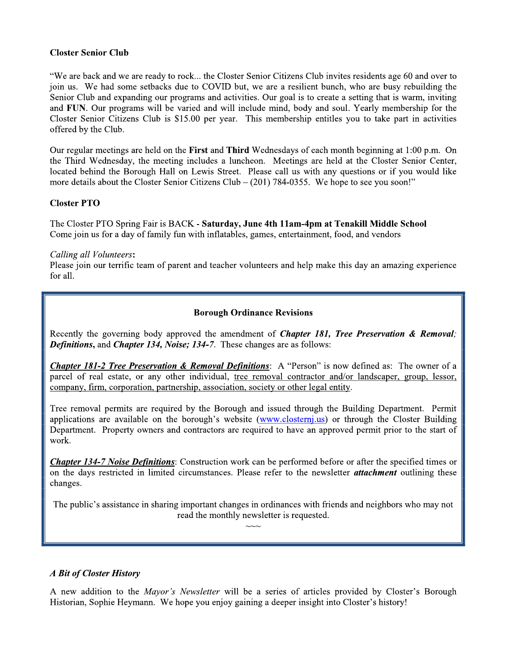### **Closter Senior Club**

"We are back and we are ready to rock... the Closter Senior Citizens Club invites residents age 60 and over to join us. We had some setbacks due to COVID but, we are a resilient bunch, who are busy rebuilding the Senior Club and expanding our programs and activities. Our goal is to create a setting that is warm, inviting and FUN. Our programs will be varied and will include mind, body and soul. Yearly membership for the Closter Senior Citizens Club is \$15.00 per year. This membership entitles you to take part in activities offered by the Club.

Our regular meetings are held on the First and Third Wednesdays of each month beginning at 1:00 p.m. On the Third Wednesday, the meeting includes a luncheon. Meetings are held at the Closter Senior Center, located behind the Borough Hall on Lewis Street. Please call us with any questions or if you would like more details about the Closter Senior Citizens Club  $-$  (201) 784-0355. We hope to see you soon!"

## **Closter PTO**

The Closter PTO Spring Fair is BACK - Saturday, June 4th 11am-4pm at Tenakill Middle School Come join us for a day of family fun with inflatables, games, entertainment, food, and vendors

#### Calling all Volunteers:

Please join our terrific team of parent and teacher volunteers and help make this day an amazing experience for all.

#### **Borough Ordinance Revisions**

Recently the governing body approved the amendment of *Chapter 181, Tree Preservation & Removal*; **Definitions, and Chapter 134, Noise; 134-7.** These changes are as follows:

Chapter 181-2 Tree Preservation & Removal Definitions: A "Person" is now defined as: The owner of a parcel of real estate, or any other individual, tree removal contractor and/or landscaper, group, lessor, company, firm, corporation, partnership, association, society or other legal entity.

Tree removal permits are required by the Borough and issued through the Building Department. Permit applications are available on the borough's website (www.closterni.us) or through the Closter Building Department. Property owners and contractors are required to have an approved permit prior to the start of work.

**Chapter 134-7 Noise Definitions:** Construction work can be performed before or after the specified times or on the days restricted in limited circumstances. Please refer to the newsletter *attachment* outlining these changes.

The public's assistance in sharing important changes in ordinances with friends and neighbors who may not read the monthly newsletter is requested.

## A Bit of Closter History

A new addition to the *Mayor's Newsletter* will be a series of articles provided by Closter's Borough Historian, Sophie Heymann. We hope you enjoy gaining a deeper insight into Closter's history!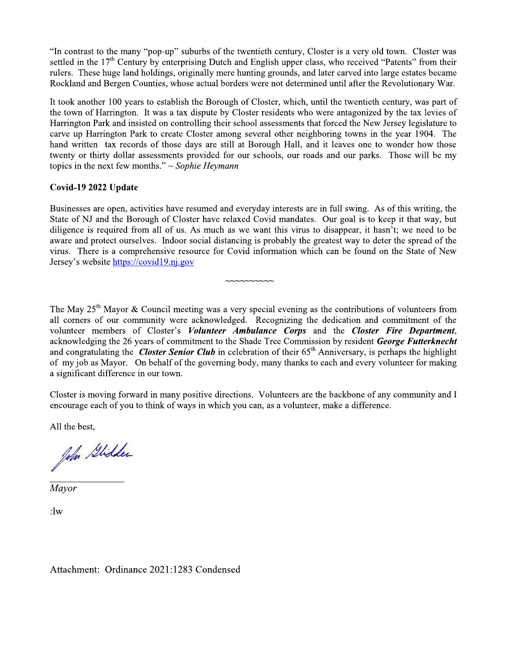"In contrast to the many "pop-up" suburbs of the twentieth century, Closter is a very old town. Closter was settled in the  $17<sup>th</sup>$  Century by enterprising Dutch and English upper class, who received "Patents" from their rulers. These huge land holdings, originally mere hunting grounds, and later carved into large estates became Rockland and Bergen Counties, whose actual borders were not determined until after the Revolutionary War.

It took another 100 years to establish the Borough of Closter, which, until the twentieth century, was part of the town of Harrington. It was a tax dispute by Closter residents who were antagonized by the tax levies of Harrington Park and insisted on controlling their school assessments that forced the New Jersey legislature to carve up Harrington Park to create Closter among several other neighboring towns in the year 1904. The hand written tax records of those days are still at Borough Hall, and it leaves one to wonder how those twenty or thirty dollar assessments provided for our schools, our roads and our parks. Those will be my topics in the next few months."  $\sim$  Sophie Heymann

## Covid-19 2022 Update

Businesses are open, activities have resumed and everyday interests are in full swing. As of this writing, the State of NJ and the Borough of Closter have relaxed Covid mandates. Our goal is to keep it that way, but diligence is required from all of us. As much as we want this virus to disappear, it hasn't; we need to be aware and protect ourselves. Indoor social distancing is probably the greatest way to deter the spread of the virus. There is a comprehensive resource for Covid information which can be found on the State of New Jersey's website https://covid19.nj.gov

The May  $25<sup>th</sup>$  Mayor & Council meeting was a very special evening as the contributions of volunteers from all corners of our community were acknowledged. Recognizing the dedication and commitment of the volunteer members of Closter's Volunteer Ambulance Corps and the Closter Fire Department, acknowledging the 26 years of commitment to the Shade Tree Commission by resident George Futterknecht and congratulating the *Closter Senior Club* in celebration of their  $65<sup>th</sup>$  Anniversary, is perhaps the highlight of my job as Mayor. On behalf of the governing body, many thanks to each and every volunteer for making a significant difference in our town.

Closter is moving forward in many positive directions. Volunteers are the backbone of any community and I encourage each of you to think of ways in which you can, as a volunteer, make a difference.

All the best,

John Glidder

Mayor

 $:1w$ 

Attachment: Ordinance 2021:1283 Condensed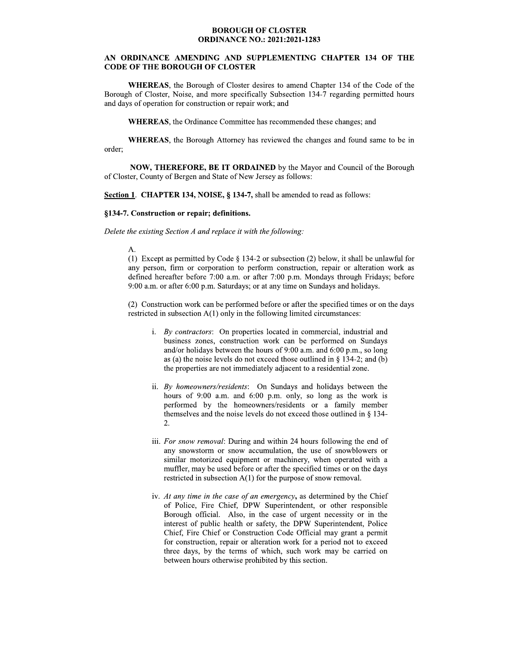#### **BOROUGH OF CLOSTER ORDINANCE NO.: 2021:2021-1283**

#### AN ORDINANCE AMENDING AND SUPPLEMENTING CHAPTER 134 OF THE **CODE OF THE BOROUGH OF CLOSTER**

**WHEREAS**, the Borough of Closter desires to amend Chapter 134 of the Code of the Borough of Closter, Noise, and more specifically Subsection 134-7 regarding permitted hours and days of operation for construction or repair work; and

WHEREAS, the Ordinance Committee has recommended these changes; and

WHEREAS, the Borough Attorney has reviewed the changes and found same to be in order;

NOW, THEREFORE, BE IT ORDAINED by the Mayor and Council of the Borough of Closter, County of Bergen and State of New Jersey as follows:

Section 1. CHAPTER 134, NOISE, § 134-7, shall be amended to read as follows:

#### §134-7. Construction or repair; definitions.

#### Delete the existing Section A and replace it with the following.

#### $A$ .

(1) Except as permitted by Code  $\S$  134-2 or subsection (2) below, it shall be unlawful for any person, firm or corporation to perform construction, repair or alteration work as defined hereafter before 7:00 a.m. or after 7:00 p.m. Mondays through Fridays; before 9:00 a.m. or after 6:00 p.m. Saturdays; or at any time on Sundays and holidays.

(2) Construction work can be performed before or after the specified times or on the days restricted in subsection  $A(1)$  only in the following limited circumstances:

- i. By contractors: On properties located in commercial, industrial and business zones, construction work can be performed on Sundays and/or holidays between the hours of 9:00 a.m. and 6:00 p.m., so long as (a) the noise levels do not exceed those outlined in  $\S$  134-2; and (b) the properties are not immediately adjacent to a residential zone.
- ii. By homeowners/residents: On Sundays and holidays between the hours of 9:00 a.m. and 6:00 p.m. only, so long as the work is performed by the homeowners/residents or a family member themselves and the noise levels do not exceed those outlined in  $\S$  134-2.
- iii. For snow removal: During and within 24 hours following the end of any snowstorm or snow accumulation, the use of snowblowers or similar motorized equipment or machinery, when operated with a muffler, may be used before or after the specified times or on the days restricted in subsection  $A(1)$  for the purpose of snow removal.
- iv. At any time in the case of an emergency, as determined by the Chief of Police, Fire Chief, DPW Superintendent, or other responsible Borough official. Also, in the case of urgent necessity or in the interest of public health or safety, the DPW Superintendent, Police Chief, Fire Chief or Construction Code Official may grant a permit for construction, repair or alteration work for a period not to exceed three days, by the terms of which, such work may be carried on between hours otherwise prohibited by this section.